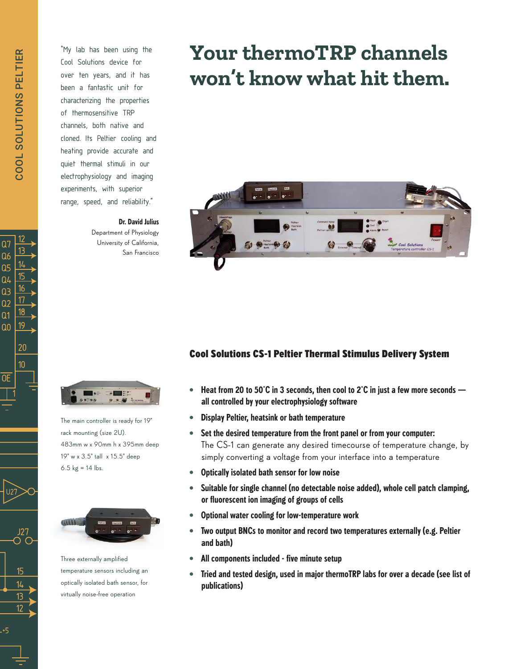12  $Q7$ 

13 Q6

14 Q5

15 Q4

 $16$ Q3

17 Q<sub>2</sub>

18 Q1

 $19$  $\overline{a}$ 

> 20  $10<sup>1</sup>$

ΟE

"My lab has been using the Cool Solutions device for over ten years, and it has been a fantastic unit for characterizing the properties of thermosensitive TRP channels, both native and cloned. Its Peltier cooling and heating provide accurate and quiet thermal stimuli in our electrophysiology and imaging experiments, with superior range, speed, and reliability."

### Dr. David Julius

Department of Physiology University of California, San Francisco

## **Your thermoTRP channels won't know what hit them.**



The main controller is ready for 19" rack mounting (size 2U). 483mm w x 90mm h x 395mm deep 19" w x 3.5" tall x 15.5" deep 6.5  $kg = 14$  lbs.



Three externally amplified temperature sensors including an optically isolated bath sensor, for virtually noise-free operation

### Cool Solutions CS-1 Peltier Thermal Stimulus Delivery System

- Heat from 20 to 50°C in 3 seconds, then cool to 2°C in just a few more seconds all controlled by your electrophysiology software
- Display Peltier, heatsink or bath temperature
- Set the desired temperature from the front panel or from your computer: The CS-1 can generate any desired timecourse of temperature change, by simply converting a voltage from your interface into a temperature
- Optically isolated bath sensor for low noise
- Suitable for single channel (no detectable noise added), whole cell patch clamping, or fluorescent ion imaging of groups of cells
- Optional water cooling for low-temperature work
- Two output BNCs to monitor and record two temperatures externally (e.g. Peltier and bath)
- All components included five minute setup
- Tried and tested design, used in major thermoTRP labs for over a decade (see list of publications)

 $-15$